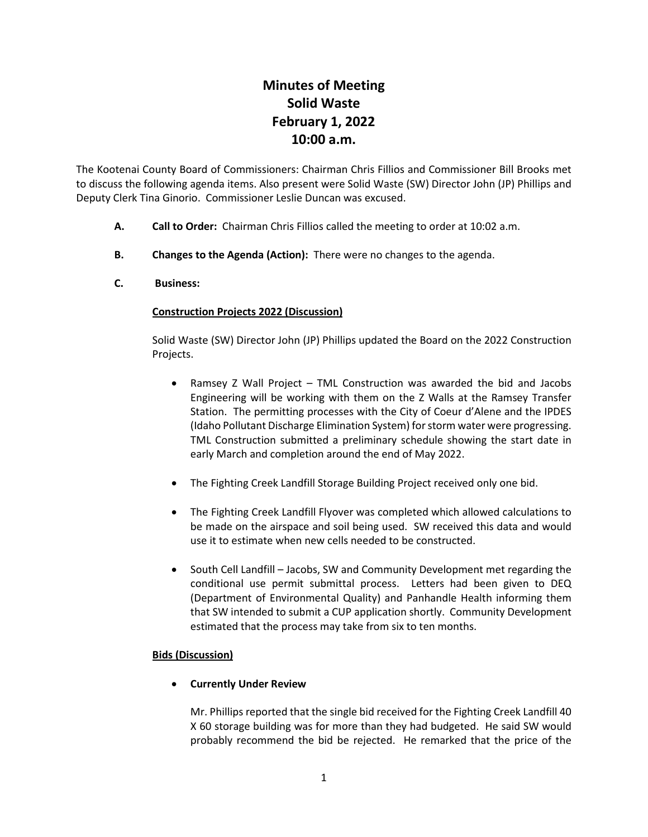# **Minutes of Meeting Solid Waste February 1, 2022 10:00 a.m.**

The Kootenai County Board of Commissioners: Chairman Chris Fillios and Commissioner Bill Brooks met to discuss the following agenda items. Also present were Solid Waste (SW) Director John (JP) Phillips and Deputy Clerk Tina Ginorio. Commissioner Leslie Duncan was excused.

- **A. Call to Order:** Chairman Chris Fillios called the meeting to order at 10:02 a.m.
- **B. Changes to the Agenda (Action):** There were no changes to the agenda.
- **C. Business:**

# **Construction Projects 2022 (Discussion)**

Solid Waste (SW) Director John (JP) Phillips updated the Board on the 2022 Construction Projects.

- Ramsey Z Wall Project TML Construction was awarded the bid and Jacobs Engineering will be working with them on the Z Walls at the Ramsey Transfer Station. The permitting processes with the City of Coeur d'Alene and the IPDES (Idaho Pollutant Discharge Elimination System) for storm water were progressing. TML Construction submitted a preliminary schedule showing the start date in early March and completion around the end of May 2022.
- The Fighting Creek Landfill Storage Building Project received only one bid.
- The Fighting Creek Landfill Flyover was completed which allowed calculations to be made on the airspace and soil being used. SW received this data and would use it to estimate when new cells needed to be constructed.
- South Cell Landfill Jacobs, SW and Community Development met regarding the conditional use permit submittal process. Letters had been given to DEQ (Department of Environmental Quality) and Panhandle Health informing them that SW intended to submit a CUP application shortly. Community Development estimated that the process may take from six to ten months.

#### **Bids (Discussion)**

• **Currently Under Review**

Mr. Phillips reported that the single bid received for the Fighting Creek Landfill 40 X 60 storage building was for more than they had budgeted. He said SW would probably recommend the bid be rejected. He remarked that the price of the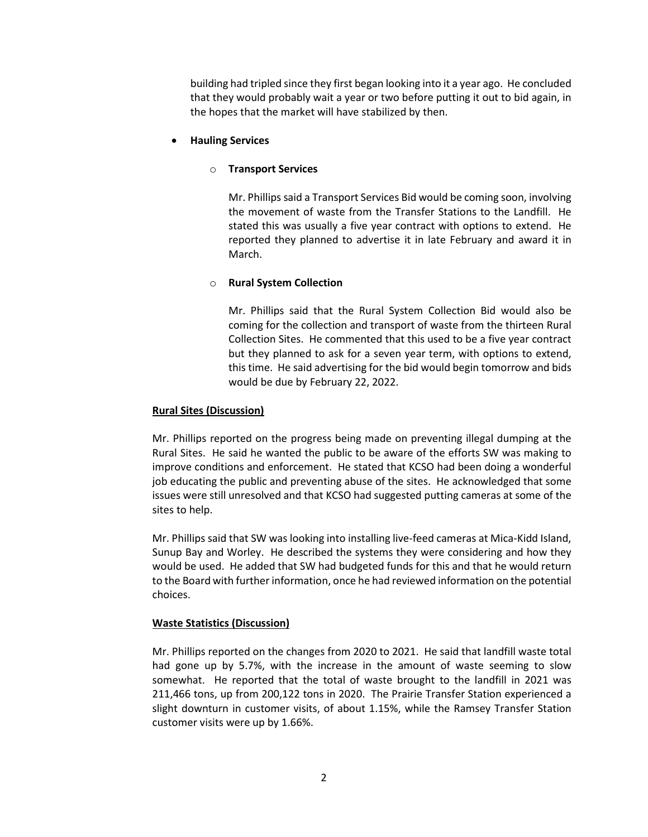building had tripled since they first began looking into it a year ago. He concluded that they would probably wait a year or two before putting it out to bid again, in the hopes that the market will have stabilized by then.

#### • **Hauling Services**

#### o **Transport Services**

Mr. Phillips said a Transport Services Bid would be coming soon, involving the movement of waste from the Transfer Stations to the Landfill. He stated this was usually a five year contract with options to extend. He reported they planned to advertise it in late February and award it in March.

# o **Rural System Collection**

Mr. Phillips said that the Rural System Collection Bid would also be coming for the collection and transport of waste from the thirteen Rural Collection Sites. He commented that this used to be a five year contract but they planned to ask for a seven year term, with options to extend, this time. He said advertising for the bid would begin tomorrow and bids would be due by February 22, 2022.

# **Rural Sites (Discussion)**

Mr. Phillips reported on the progress being made on preventing illegal dumping at the Rural Sites. He said he wanted the public to be aware of the efforts SW was making to improve conditions and enforcement. He stated that KCSO had been doing a wonderful job educating the public and preventing abuse of the sites. He acknowledged that some issues were still unresolved and that KCSO had suggested putting cameras at some of the sites to help.

Mr. Phillips said that SW was looking into installing live-feed cameras at Mica-Kidd Island, Sunup Bay and Worley. He described the systems they were considering and how they would be used. He added that SW had budgeted funds for this and that he would return to the Board with further information, once he had reviewed information on the potential choices.

# **Waste Statistics (Discussion)**

Mr. Phillips reported on the changes from 2020 to 2021. He said that landfill waste total had gone up by 5.7%, with the increase in the amount of waste seeming to slow somewhat. He reported that the total of waste brought to the landfill in 2021 was 211,466 tons, up from 200,122 tons in 2020. The Prairie Transfer Station experienced a slight downturn in customer visits, of about 1.15%, while the Ramsey Transfer Station customer visits were up by 1.66%.